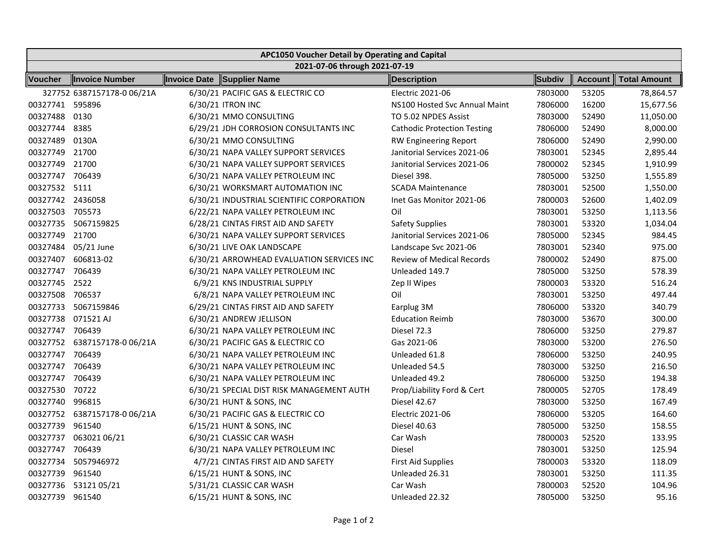| APC1050 Voucher Detail by Operating and Capital |                              |  |                                           |                                    |         |         |                     |  |  |  |  |  |
|-------------------------------------------------|------------------------------|--|-------------------------------------------|------------------------------------|---------|---------|---------------------|--|--|--|--|--|
| 2021-07-06 through 2021-07-19                   |                              |  |                                           |                                    |         |         |                     |  |  |  |  |  |
| <b>Voucher</b>                                  | Invoice Number               |  | Invoice Date Supplier Name                | Description                        | Subdiv  | Account | <b>Total Amount</b> |  |  |  |  |  |
|                                                 | 327752 6387157178-0 06/21A   |  | 6/30/21 PACIFIC GAS & ELECTRIC CO         | Electric 2021-06                   | 7803000 | 53205   | 78,864.57           |  |  |  |  |  |
| 00327741 595896                                 |                              |  | 6/30/21 ITRON INC                         | NS100 Hosted Svc Annual Maint      | 7806000 | 16200   | 15,677.56           |  |  |  |  |  |
| 00327488                                        | 0130                         |  | 6/30/21 MMO CONSULTING                    | TO 5.02 NPDES Assist               | 7803000 | 52490   | 11,050.00           |  |  |  |  |  |
| 00327744                                        | 8385                         |  | 6/29/21 JDH CORROSION CONSULTANTS INC     | <b>Cathodic Protection Testing</b> | 7806000 | 52490   | 8,000.00            |  |  |  |  |  |
| 00327489                                        | 0130A                        |  | 6/30/21 MMO CONSULTING                    | <b>RW Engineering Report</b>       | 7806000 | 52490   | 2,990.00            |  |  |  |  |  |
| 00327749 21700                                  |                              |  | 6/30/21 NAPA VALLEY SUPPORT SERVICES      | Janitorial Services 2021-06        | 7803001 | 52345   | 2,895.44            |  |  |  |  |  |
| 00327749 21700                                  |                              |  | 6/30/21 NAPA VALLEY SUPPORT SERVICES      | Janitorial Services 2021-06        | 7800002 | 52345   | 1,910.99            |  |  |  |  |  |
| 00327747 706439                                 |                              |  | 6/30/21 NAPA VALLEY PETROLEUM INC         | Diesel 398.                        | 7805000 | 53250   | 1,555.89            |  |  |  |  |  |
| 00327532 5111                                   |                              |  | 6/30/21 WORKSMART AUTOMATION INC          | <b>SCADA Maintenance</b>           | 7803001 | 52500   | 1,550.00            |  |  |  |  |  |
| 00327742 2436058                                |                              |  | 6/30/21 INDUSTRIAL SCIENTIFIC CORPORATION | Inet Gas Monitor 2021-06           | 7800003 | 52600   | 1,402.09            |  |  |  |  |  |
| 00327503 705573                                 |                              |  | 6/22/21 NAPA VALLEY PETROLEUM INC         | Oil                                | 7803001 | 53250   | 1,113.56            |  |  |  |  |  |
|                                                 | 00327735 5067159825          |  | 6/28/21 CINTAS FIRST AID AND SAFETY       | <b>Safety Supplies</b>             | 7803001 | 53320   | 1,034.04            |  |  |  |  |  |
| 00327749 21700                                  |                              |  | 6/30/21 NAPA VALLEY SUPPORT SERVICES      | Janitorial Services 2021-06        | 7805000 | 52345   | 984.45              |  |  |  |  |  |
|                                                 | 00327484 05/21 June          |  | 6/30/21 LIVE OAK LANDSCAPE                | Landscape Svc 2021-06              | 7803001 | 52340   | 975.00              |  |  |  |  |  |
|                                                 | 00327407 606813-02           |  | 6/30/21 ARROWHEAD EVALUATION SERVICES INC | <b>Review of Medical Records</b>   | 7800002 | 52490   | 875.00              |  |  |  |  |  |
| 00327747 706439                                 |                              |  | 6/30/21 NAPA VALLEY PETROLEUM INC         | Unleaded 149.7                     | 7805000 | 53250   | 578.39              |  |  |  |  |  |
| 00327745 2522                                   |                              |  | 6/9/21 KNS INDUSTRIAL SUPPLY              | Zep II Wipes                       | 7800003 | 53320   | 516.24              |  |  |  |  |  |
| 00327508 706537                                 |                              |  | 6/8/21 NAPA VALLEY PETROLEUM INC          | Oil                                | 7803001 | 53250   | 497.44              |  |  |  |  |  |
|                                                 | 00327733 5067159846          |  | 6/29/21 CINTAS FIRST AID AND SAFETY       | Earplug 3M                         | 7806000 | 53320   | 340.79              |  |  |  |  |  |
| 00327738                                        | 071521 AJ                    |  | 6/30/21 ANDREW JELLISON                   | <b>Education Reimb</b>             | 7803000 | 53670   | 300.00              |  |  |  |  |  |
| 00327747 706439                                 |                              |  | 6/30/21 NAPA VALLEY PETROLEUM INC         | Diesel 72.3                        | 7806000 | 53250   | 279.87              |  |  |  |  |  |
|                                                 | 00327752 6387157178-0 06/21A |  | 6/30/21 PACIFIC GAS & ELECTRIC CO         | Gas 2021-06                        | 7803000 | 53200   | 276.50              |  |  |  |  |  |
| 00327747 706439                                 |                              |  | 6/30/21 NAPA VALLEY PETROLEUM INC         | Unleaded 61.8                      | 7806000 | 53250   | 240.95              |  |  |  |  |  |
| 00327747 706439                                 |                              |  | 6/30/21 NAPA VALLEY PETROLEUM INC         | Unleaded 54.5                      | 7803000 | 53250   | 216.50              |  |  |  |  |  |
| 00327747 706439                                 |                              |  | 6/30/21 NAPA VALLEY PETROLEUM INC         | Unleaded 49.2                      | 7806000 | 53250   | 194.38              |  |  |  |  |  |
| 00327530 70722                                  |                              |  | 6/30/21 SPECIAL DIST RISK MANAGEMENT AUTH | Prop/Liability Ford & Cert         | 7800005 | 52705   | 178.49              |  |  |  |  |  |
| 00327740 996815                                 |                              |  | 6/30/21 HUNT & SONS, INC                  | Diesel 42.67                       | 7803000 | 53250   | 167.49              |  |  |  |  |  |
|                                                 | 00327752 6387157178-0 06/21A |  | 6/30/21 PACIFIC GAS & ELECTRIC CO         | <b>Electric 2021-06</b>            | 7806000 | 53205   | 164.60              |  |  |  |  |  |
| 00327739 961540                                 |                              |  | 6/15/21 HUNT & SONS, INC                  | Diesel 40.63                       | 7805000 | 53250   | 158.55              |  |  |  |  |  |
| 00327737                                        | 063021 06/21                 |  | 6/30/21 CLASSIC CAR WASH                  | Car Wash                           | 7800003 | 52520   | 133.95              |  |  |  |  |  |
| 00327747                                        | 706439                       |  | 6/30/21 NAPA VALLEY PETROLEUM INC         | Diesel                             | 7803001 | 53250   | 125.94              |  |  |  |  |  |
| 00327734                                        | 5057946972                   |  | 4/7/21 CINTAS FIRST AID AND SAFETY        | <b>First Aid Supplies</b>          | 7800003 | 53320   | 118.09              |  |  |  |  |  |
| 00327739                                        | 961540                       |  | 6/15/21 HUNT & SONS, INC                  | Unleaded 26.31                     | 7803001 | 53250   | 111.35              |  |  |  |  |  |
| 00327736                                        | 5312105/21                   |  | 5/31/21 CLASSIC CAR WASH                  | Car Wash                           | 7800003 | 52520   | 104.96              |  |  |  |  |  |
| 00327739                                        | 961540                       |  | 6/15/21 HUNT & SONS, INC                  | Unleaded 22.32                     | 7805000 | 53250   | 95.16               |  |  |  |  |  |